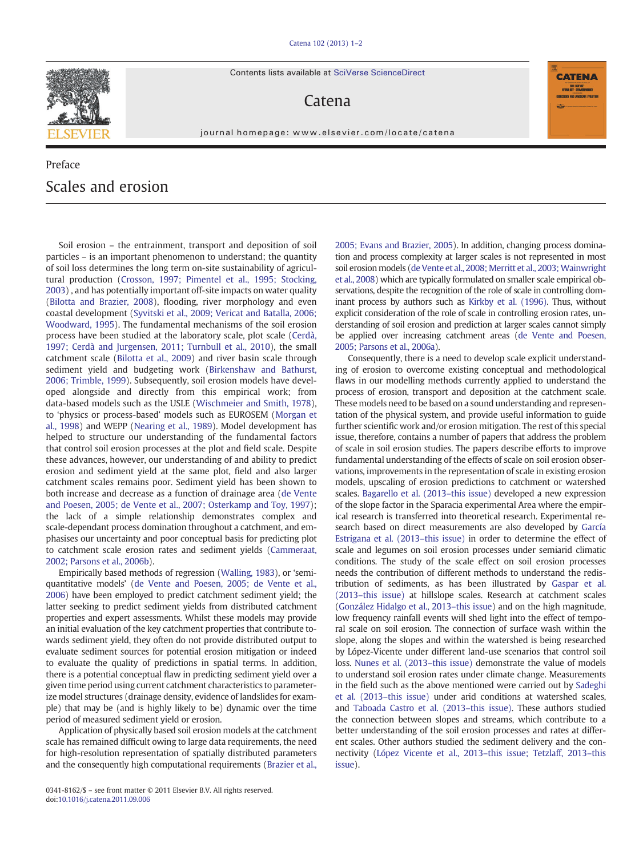Contents lists available at SciVerse ScienceDirect

## Catena

journal homepage: www.elsevier.com/locate/catena

# Preface Scales and erosion

Soil erosion – the entrainment, transport and deposition of soil particles – is an important phenomenon to understand; the quantity of soil loss determines the long term on-site sustainability of agricultural production [\(Crosson, 1997; Pimentel et al., 1995; Stocking,](#page-1-0) [2003\)](#page-1-0) , and has potentially important off-site impacts on water quality [\(Bilotta and Brazier, 2008](#page-1-0)), flooding, river morphology and even coastal development ([Syvitski et al., 2009; Vericat and Batalla, 2006;](#page-1-0) [Woodward, 1995\)](#page-1-0). The fundamental mechanisms of the soil erosion process have been studied at the laboratory scale, plot scale ([Cerdà,](#page-1-0) [1997; Cerdà and Jurgensen, 2011; Turnbull et al., 2010](#page-1-0)), the small catchment scale ([Bilotta et al., 2009](#page-1-0)) and river basin scale through sediment yield and budgeting work ([Birkenshaw and Bathurst,](#page-1-0) [2006; Trimble, 1999\)](#page-1-0). Subsequently, soil erosion models have developed alongside and directly from this empirical work; from data-based models such as the USLE ([Wischmeier and Smith, 1978](#page-1-0)), to 'physics or process-based' models such as EUROSEM [\(Morgan et](#page-1-0) [al., 1998\)](#page-1-0) and WEPP [\(Nearing et al., 1989\)](#page-1-0). Model development has helped to structure our understanding of the fundamental factors that control soil erosion processes at the plot and field scale. Despite these advances, however, our understanding of and ability to predict erosion and sediment yield at the same plot, field and also larger catchment scales remains poor. Sediment yield has been shown to both increase and decrease as a function of drainage area ([de Vente](#page-1-0) [and Poesen, 2005; de Vente et al., 2007; Osterkamp and Toy, 1997](#page-1-0)); the lack of a simple relationship demonstrates complex and scale-dependant process domination throughout a catchment, and emphasises our uncertainty and poor conceptual basis for predicting plot to catchment scale erosion rates and sediment yields ([Cammeraat,](#page-1-0) [2002; Parsons et al., 2006b\)](#page-1-0).

Empirically based methods of regression ([Walling, 1983](#page-1-0)), or 'semiquantitative models' ([de Vente and Poesen, 2005; de Vente et al.,](#page-1-0) [2006](#page-1-0)) have been employed to predict catchment sediment yield; the latter seeking to predict sediment yields from distributed catchment properties and expert assessments. Whilst these models may provide an initial evaluation of the key catchment properties that contribute towards sediment yield, they often do not provide distributed output to evaluate sediment sources for potential erosion mitigation or indeed to evaluate the quality of predictions in spatial terms. In addition, there is a potential conceptual flaw in predicting sediment yield over a given time period using current catchment characteristics to parameterize model structures (drainage density, evidence of landslides for example) that may be (and is highly likely to be) dynamic over the time period of measured sediment yield or erosion.

Application of physically based soil erosion models at the catchment scale has remained difficult owing to large data requirements, the need for high-resolution representation of spatially distributed parameters and the consequently high computational requirements [\(Brazier et al.,](#page-1-0)

0341-8162/\$ – see front matter © 2011 Elsevier B.V. All rights reserved. doi:[10.1016/j.catena.2011.09.006](http://dx.doi.org/10.1016/j.catena.2011.09.006)

[2005; Evans and Brazier, 2005\)](#page-1-0). In addition, changing process domination and process complexity at larger scales is not represented in most soil erosion models (de Vente et al., 2008; Merritt et al., 2003; Wainwright [et al., 2008](#page-1-0)) which are typically formulated on smaller scale empirical observations, despite the recognition of the role of scale in controlling dominant process by authors such as [Kirkby et al. \(1996\).](#page-1-0) Thus, without explicit consideration of the role of scale in controlling erosion rates, understanding of soil erosion and prediction at larger scales cannot simply be applied over increasing catchment areas [\(de Vente and Poesen,](#page-1-0) [2005; Parsons et al., 2006a\)](#page-1-0).

Consequently, there is a need to develop scale explicit understanding of erosion to overcome existing conceptual and methodological flaws in our modelling methods currently applied to understand the process of erosion, transport and deposition at the catchment scale. These models need to be based on a sound understanding and representation of the physical system, and provide useful information to guide further scientific work and/or erosion mitigation. The rest of this special issue, therefore, contains a number of papers that address the problem of scale in soil erosion studies. The papers describe efforts to improve fundamental understanding of the effects of scale on soil erosion observations, improvements in the representation of scale in existing erosion models, upscaling of erosion predictions to catchment or watershed scales. [Bagarello et al. \(2013](#page-1-0)–this issue) developed a new expression of the slope factor in the Sparacia experimental Area where the empirical research is transferred into theoretical research. Experimental research based on direct measurements are also developed by [García](#page-1-0) [Estrigana et al. \(2013](#page-1-0)–this issue) in order to determine the effect of scale and legumes on soil erosion processes under semiarid climatic conditions. The study of the scale effect on soil erosion processes needs the contribution of different methods to understand the redistribution of sediments, as has been illustrated by [Gaspar et al.](#page-1-0) (2013–[this issue\)](#page-1-0) at hillslope scales. Research at catchment scales [\(González Hidalgo et al., 2013](#page-1-0)–this issue) and on the high magnitude, low frequency rainfall events will shed light into the effect of temporal scale on soil erosion. The connection of surface wash within the slope, along the slopes and within the watershed is being researched by López-Vicente under different land-use scenarios that control soil loss. [Nunes et al. \(2013](#page-1-0)–this issue) demonstrate the value of models to understand soil erosion rates under climate change. Measurements in the field such as the above mentioned were carried out by [Sadeghi](#page-1-0) [et al. \(2013](#page-1-0)–this issue) under arid conditions at watershed scales, and [Taboada Castro et al. \(2013](#page-1-0)–this issue). These authors studied the connection between slopes and streams, which contribute to a better understanding of the soil erosion processes and rates at different scales. Other authors studied the sediment delivery and the connectivity [\(López Vicente et al., 2013](#page-1-0)–this issue; Tetzlaff, 2013–this [issue](#page-1-0)).